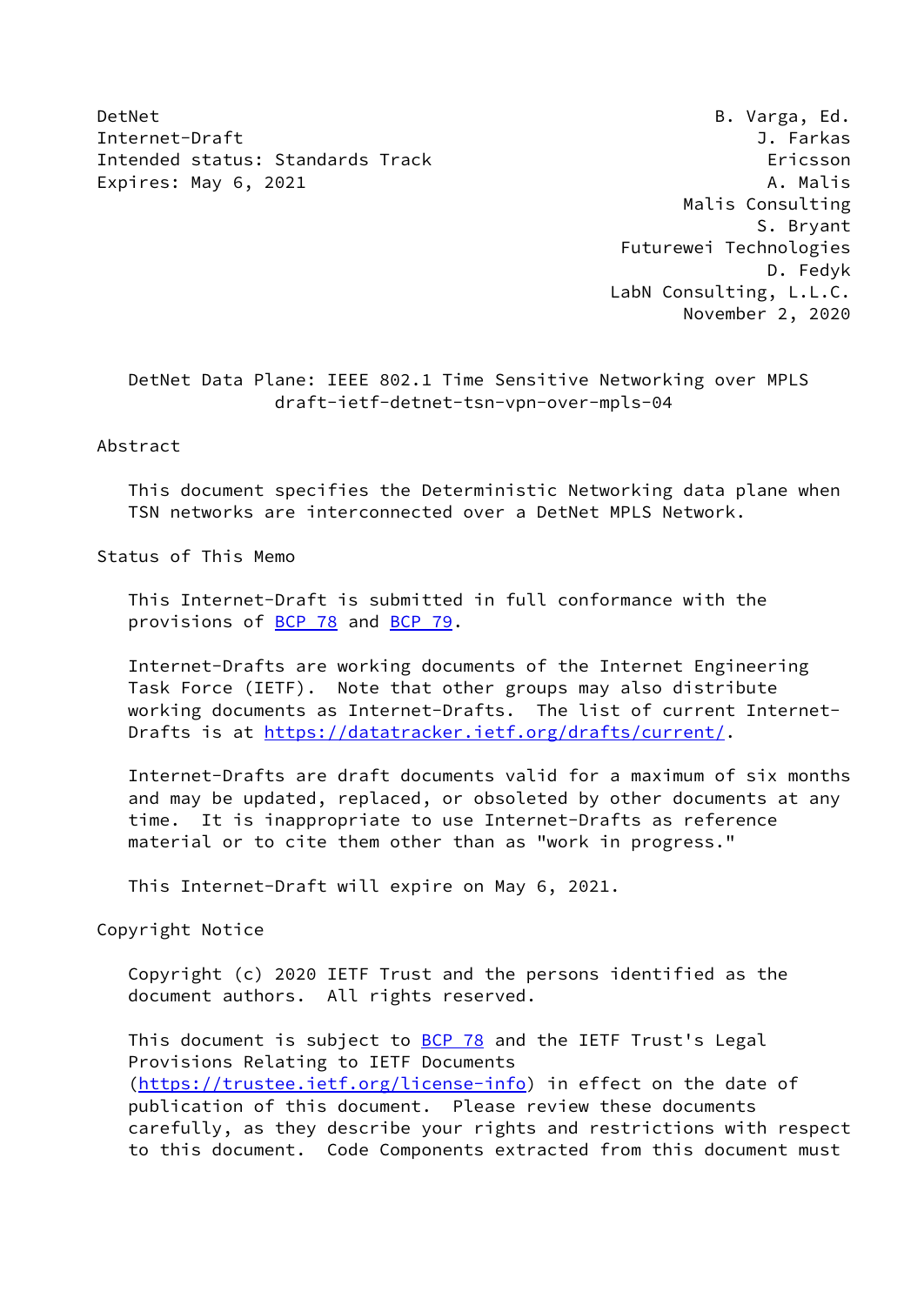DetNet B. Varga, Ed. Internet-Draft J. Farkas Intended status: Standards Track Ericsson Expires: May 6, 2021 and the contract of the Malis A. Malis

 Malis Consulting S. Bryant Futurewei Technologies D. Fedyk LabN Consulting, L.L.C. November 2, 2020

 DetNet Data Plane: IEEE 802.1 Time Sensitive Networking over MPLS draft-ietf-detnet-tsn-vpn-over-mpls-04

### Abstract

 This document specifies the Deterministic Networking data plane when TSN networks are interconnected over a DetNet MPLS Network.

Status of This Memo

 This Internet-Draft is submitted in full conformance with the provisions of **BCP 78** and **BCP 79**.

 Internet-Drafts are working documents of the Internet Engineering Task Force (IETF). Note that other groups may also distribute working documents as Internet-Drafts. The list of current Internet Drafts is at<https://datatracker.ietf.org/drafts/current/>.

 Internet-Drafts are draft documents valid for a maximum of six months and may be updated, replaced, or obsoleted by other documents at any time. It is inappropriate to use Internet-Drafts as reference material or to cite them other than as "work in progress."

This Internet-Draft will expire on May 6, 2021.

Copyright Notice

 Copyright (c) 2020 IETF Trust and the persons identified as the document authors. All rights reserved.

This document is subject to **[BCP 78](https://datatracker.ietf.org/doc/pdf/bcp78)** and the IETF Trust's Legal Provisions Relating to IETF Documents [\(https://trustee.ietf.org/license-info](https://trustee.ietf.org/license-info)) in effect on the date of publication of this document. Please review these documents carefully, as they describe your rights and restrictions with respect to this document. Code Components extracted from this document must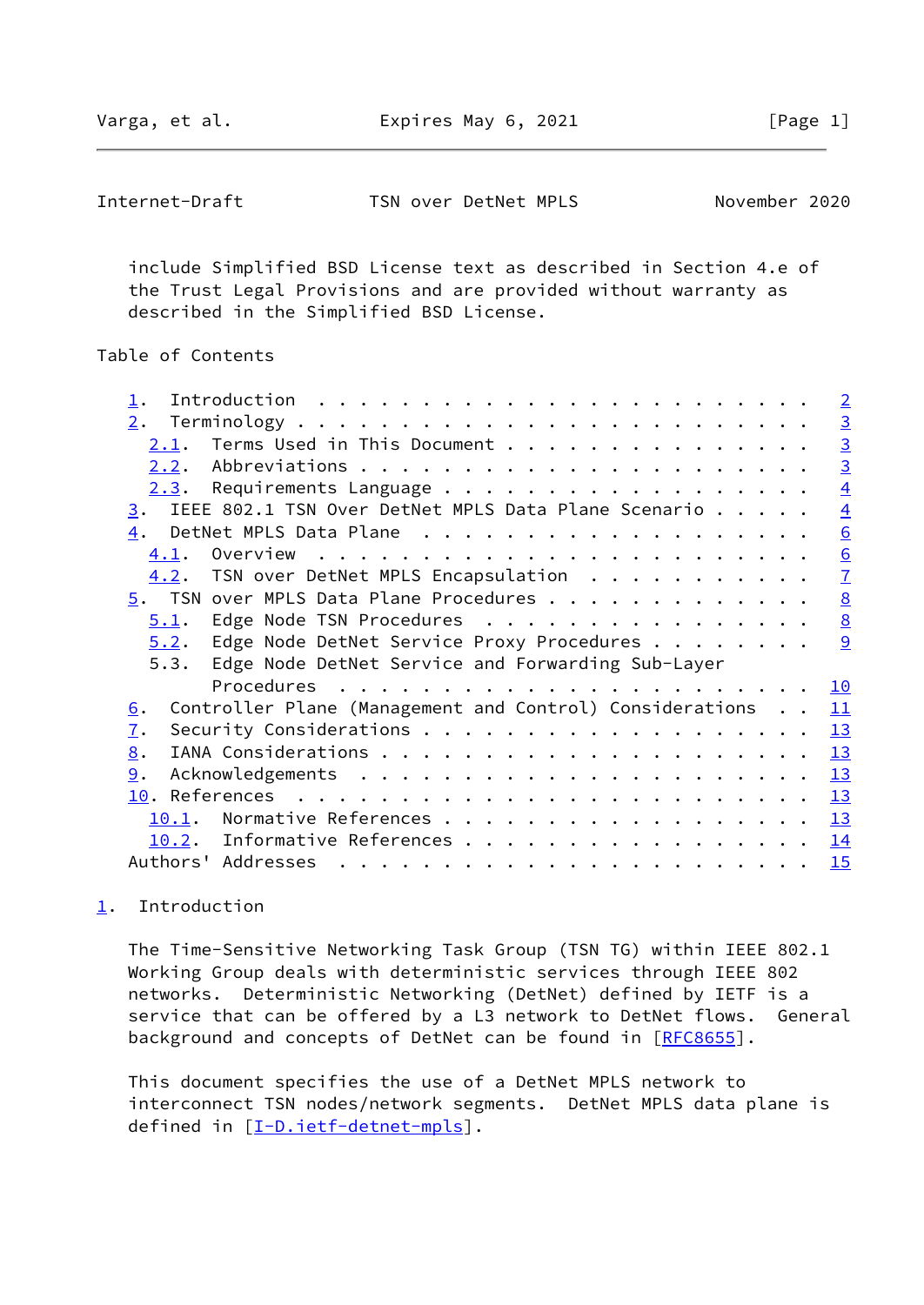Varga, et al. **Expires May 6, 2021** [Page 1]

<span id="page-1-1"></span>Internet-Draft TSN over DetNet MPLS November 2020

 include Simplified BSD License text as described in Section 4.e of the Trust Legal Provisions and are provided without warranty as described in the Simplified BSD License.

# Table of Contents

| $\overline{2}$                                                                                                                                                                                                                                                                                                                                                                                                                                                                                                      |
|---------------------------------------------------------------------------------------------------------------------------------------------------------------------------------------------------------------------------------------------------------------------------------------------------------------------------------------------------------------------------------------------------------------------------------------------------------------------------------------------------------------------|
| $\overline{3}$<br>2.                                                                                                                                                                                                                                                                                                                                                                                                                                                                                                |
| $\overline{3}$<br>Terms Used in This Document<br>2.1.                                                                                                                                                                                                                                                                                                                                                                                                                                                               |
| $\overline{3}$                                                                                                                                                                                                                                                                                                                                                                                                                                                                                                      |
| $\overline{4}$<br>Requirements Language<br>2.3.                                                                                                                                                                                                                                                                                                                                                                                                                                                                     |
| IEEE 802.1 TSN Over DetNet MPLS Data Plane Scenario<br>$\overline{4}$<br>3.                                                                                                                                                                                                                                                                                                                                                                                                                                         |
| $\underline{6}$<br>4.                                                                                                                                                                                                                                                                                                                                                                                                                                                                                               |
| $\underline{6}$<br>4.1.                                                                                                                                                                                                                                                                                                                                                                                                                                                                                             |
| $\overline{1}$<br>TSN over DetNet MPLS Encapsulation<br>4.2.                                                                                                                                                                                                                                                                                                                                                                                                                                                        |
| 8<br>5. TSN over MPLS Data Plane Procedures                                                                                                                                                                                                                                                                                                                                                                                                                                                                         |
| $\underline{8}$<br>Edge Node TSN Procedures<br>5.1.                                                                                                                                                                                                                                                                                                                                                                                                                                                                 |
| 9<br>Edge Node DetNet Service Proxy Procedures<br>5.2.                                                                                                                                                                                                                                                                                                                                                                                                                                                              |
| Edge Node DetNet Service and Forwarding Sub-Layer<br>5.3.                                                                                                                                                                                                                                                                                                                                                                                                                                                           |
| 10                                                                                                                                                                                                                                                                                                                                                                                                                                                                                                                  |
| Controller Plane (Management and Control) Considerations<br>11<br>6.                                                                                                                                                                                                                                                                                                                                                                                                                                                |
| 13<br>$\overline{1}$ .                                                                                                                                                                                                                                                                                                                                                                                                                                                                                              |
| 13<br>8.                                                                                                                                                                                                                                                                                                                                                                                                                                                                                                            |
| 9.<br>13                                                                                                                                                                                                                                                                                                                                                                                                                                                                                                            |
| 13                                                                                                                                                                                                                                                                                                                                                                                                                                                                                                                  |
| 13<br>10.1.                                                                                                                                                                                                                                                                                                                                                                                                                                                                                                         |
| Informative References<br>14<br>10.2.                                                                                                                                                                                                                                                                                                                                                                                                                                                                               |
| Authors' Addresses<br>15<br>$\mathbf{r}^{\mathsf{T}} \cdot \mathbf{r}^{\mathsf{T}} \cdot \mathbf{r}^{\mathsf{T}} \cdot \mathbf{r}^{\mathsf{T}} \cdot \mathbf{r}^{\mathsf{T}} \cdot \mathbf{r}^{\mathsf{T}} \cdot \mathbf{r}^{\mathsf{T}} \cdot \mathbf{r}^{\mathsf{T}} \cdot \mathbf{r}^{\mathsf{T}} \cdot \mathbf{r}^{\mathsf{T}} \cdot \mathbf{r}^{\mathsf{T}} \cdot \mathbf{r}^{\mathsf{T}} \cdot \mathbf{r}^{\mathsf{T}} \cdot \mathbf{r}^{\mathsf{T}} \cdot \mathbf{r}^{\mathsf{T}} \cdot \mathbf{r}^{\mathsf$ |
|                                                                                                                                                                                                                                                                                                                                                                                                                                                                                                                     |

# <span id="page-1-0"></span>[1](#page-1-0). Introduction

 The Time-Sensitive Networking Task Group (TSN TG) within IEEE 802.1 Working Group deals with deterministic services through IEEE 802 networks. Deterministic Networking (DetNet) defined by IETF is a service that can be offered by a L3 network to DetNet flows. General background and concepts of DetNet can be found in [[RFC8655](https://datatracker.ietf.org/doc/pdf/rfc8655)].

 This document specifies the use of a DetNet MPLS network to interconnect TSN nodes/network segments. DetNet MPLS data plane is defined in [[I-D.ietf-detnet-mpls\]](#page-14-4).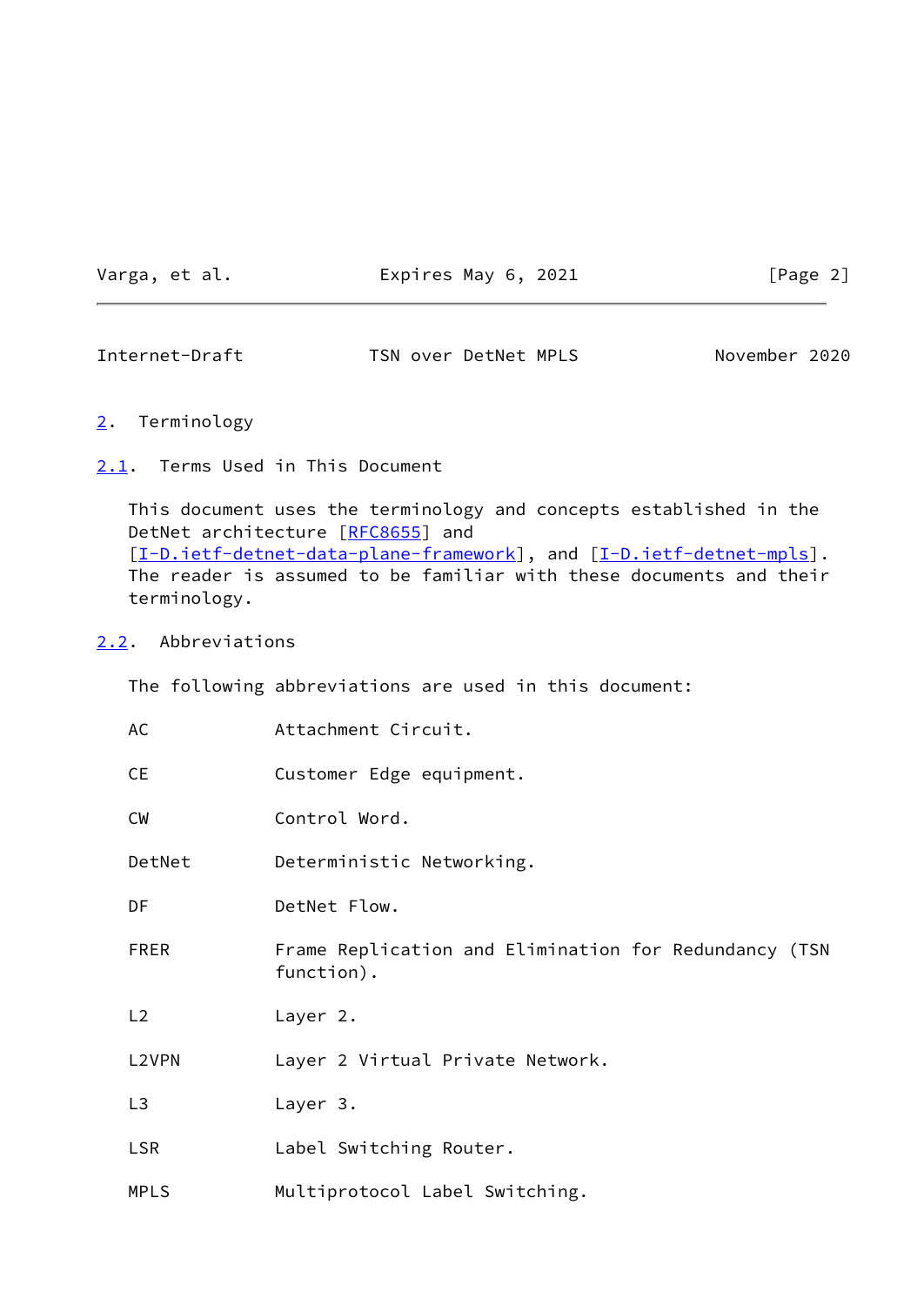Varga, et al. **Expires May 6, 2021** [Page 2]

<span id="page-2-1"></span>Internet-Draft TSN over DetNet MPLS November 2020

- <span id="page-2-0"></span>[2](#page-2-0). Terminology
- <span id="page-2-2"></span>[2.1](#page-2-2). Terms Used in This Document

 This document uses the terminology and concepts established in the DetNet architecture [\[RFC8655](https://datatracker.ietf.org/doc/pdf/rfc8655)] and [\[I-D.ietf-detnet-data-plane-framework](#page-14-5)], and [\[I-D.ietf-detnet-mpls](#page-14-4)]. The reader is assumed to be familiar with these documents and their terminology.

### <span id="page-2-3"></span>[2.2](#page-2-3). Abbreviations

The following abbreviations are used in this document:

| AC             | Attachment Circuit.                                                 |
|----------------|---------------------------------------------------------------------|
| <b>CE</b>      | Customer Edge equipment.                                            |
| <b>CW</b>      | Control Word.                                                       |
| DetNet         | Deterministic Networking.                                           |
| DF             | DetNet Flow.                                                        |
| <b>FRER</b>    | Frame Replication and Elimination for Redundancy (TSN<br>function). |
| L2             | Layer 2.                                                            |
| L2VPN          | Layer 2 Virtual Private Network.                                    |
| L <sub>3</sub> | Layer 3.                                                            |
| <b>LSR</b>     | Label Switching Router.                                             |
| <b>MPLS</b>    | Multiprotocol Label Switching.                                      |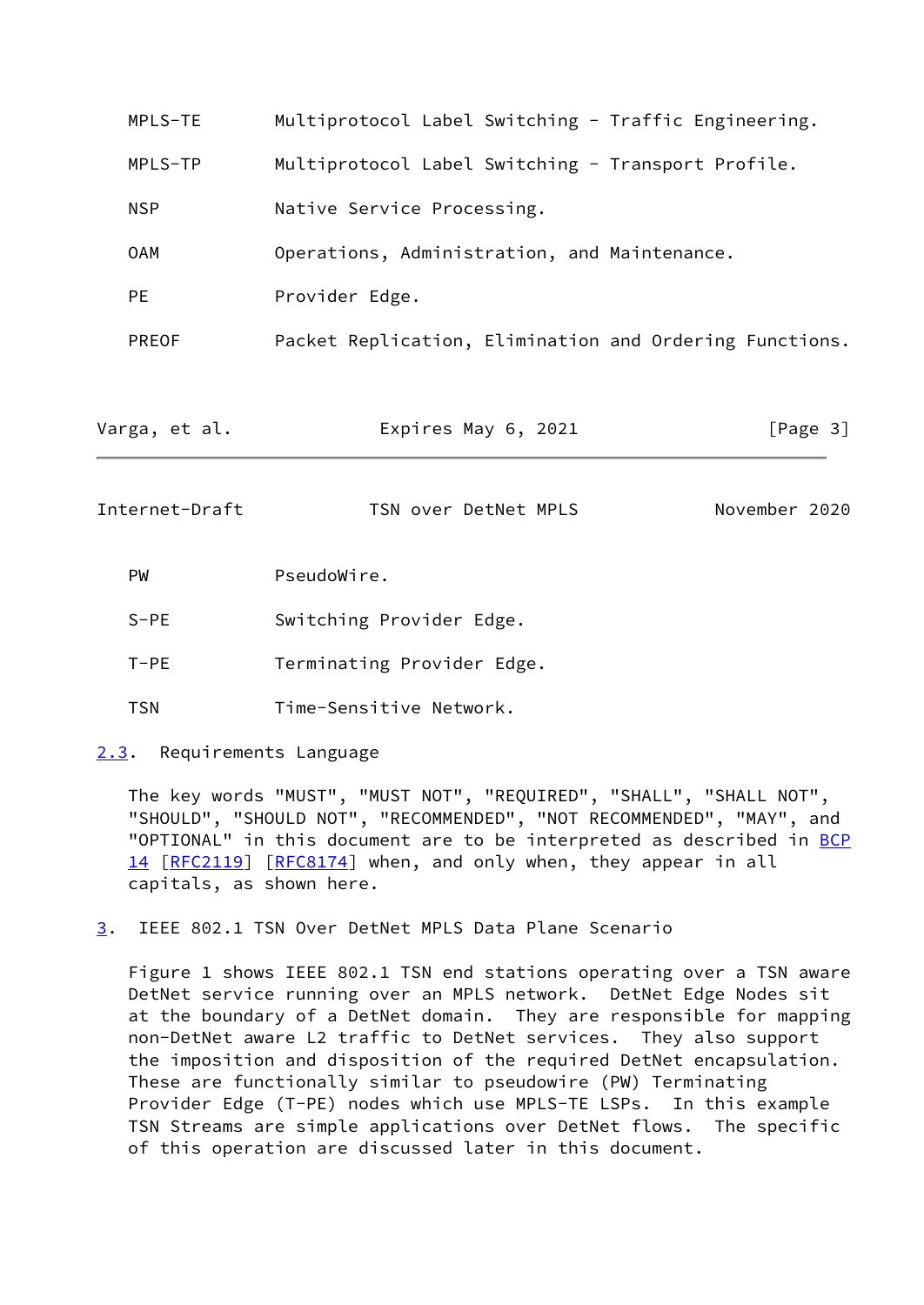| MPLS-TE        | Multiprotocol Label Switching - Traffic Engineering.    |               |
|----------------|---------------------------------------------------------|---------------|
| MPLS-TP        | Multiprotocol Label Switching - Transport Profile.      |               |
| <b>NSP</b>     | Native Service Processing.                              |               |
| <b>OAM</b>     | Operations, Administration, and Maintenance.            |               |
| <b>PE</b>      | Provider Edge.                                          |               |
| <b>PREOF</b>   | Packet Replication, Elimination and Ordering Functions. |               |
|                |                                                         |               |
| Varga, et al.  | Expires May 6, 2021                                     | [Page 3]      |
| Internet-Draft | TSN over DetNet MPLS                                    | November 2020 |
| PW             | PseudoWire.                                             |               |
| $S-PE$         | Switching Provider Edge.                                |               |
| $T-PE$         | Terminating Provider Edge.                              |               |

- <span id="page-3-1"></span>TSN Time-Sensitive Network.
- <span id="page-3-0"></span>[2.3](#page-3-0). Requirements Language

 The key words "MUST", "MUST NOT", "REQUIRED", "SHALL", "SHALL NOT", "SHOULD", "SHOULD NOT", "RECOMMENDED", "NOT RECOMMENDED", "MAY", and "OPTIONAL" in this document are to be interpreted as described in [BCP](https://datatracker.ietf.org/doc/pdf/bcp14) [14](https://datatracker.ietf.org/doc/pdf/bcp14) [[RFC2119\]](https://datatracker.ietf.org/doc/pdf/rfc2119) [\[RFC8174](https://datatracker.ietf.org/doc/pdf/rfc8174)] when, and only when, they appear in all capitals, as shown here.

<span id="page-3-2"></span>[3](#page-3-2). IEEE 802.1 TSN Over DetNet MPLS Data Plane Scenario

 Figure 1 shows IEEE 802.1 TSN end stations operating over a TSN aware DetNet service running over an MPLS network. DetNet Edge Nodes sit at the boundary of a DetNet domain. They are responsible for mapping non-DetNet aware L2 traffic to DetNet services. They also support the imposition and disposition of the required DetNet encapsulation. These are functionally similar to pseudowire (PW) Terminating Provider Edge (T-PE) nodes which use MPLS-TE LSPs. In this example TSN Streams are simple applications over DetNet flows. The specific of this operation are discussed later in this document.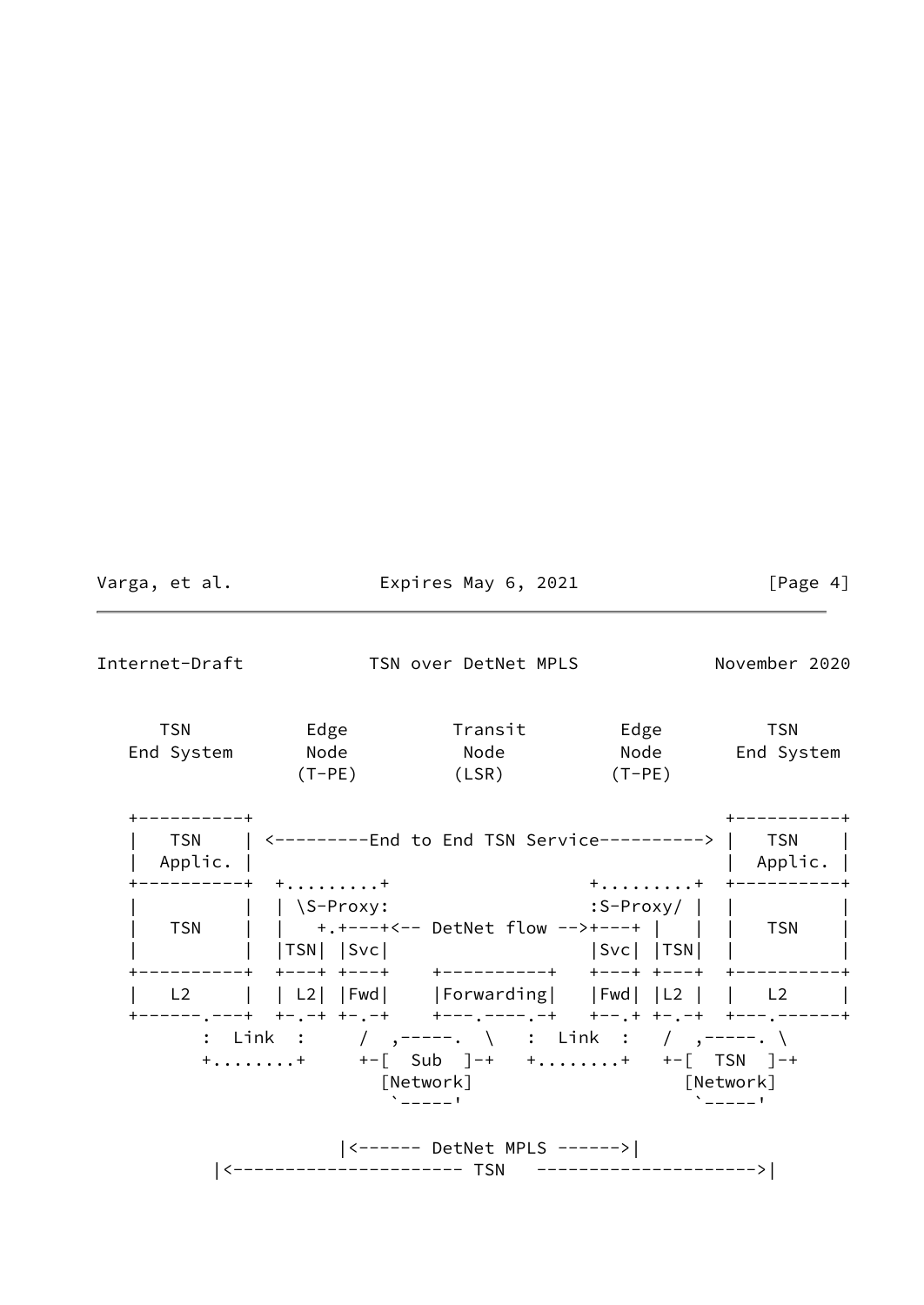|                       |             |                                    | [Page 4]                                                                                                                                                                                                                                                                                                                                                                                                                                                                                                                                       |
|-----------------------|-------------|------------------------------------|------------------------------------------------------------------------------------------------------------------------------------------------------------------------------------------------------------------------------------------------------------------------------------------------------------------------------------------------------------------------------------------------------------------------------------------------------------------------------------------------------------------------------------------------|
|                       |             |                                    | November 2020                                                                                                                                                                                                                                                                                                                                                                                                                                                                                                                                  |
| <b>TSN</b>            |             |                                    |                                                                                                                                                                                                                                                                                                                                                                                                                                                                                                                                                |
| ---------+<br>Applic. |             |                                    | $\vert$ Applic. $\vert$                                                                                                                                                                                                                                                                                                                                                                                                                                                                                                                        |
|                       |             |                                    |                                                                                                                                                                                                                                                                                                                                                                                                                                                                                                                                                |
|                       |             |                                    |                                                                                                                                                                                                                                                                                                                                                                                                                                                                                                                                                |
|                       |             |                                    | $\Delta$ -----                                                                                                                                                                                                                                                                                                                                                                                                                                                                                                                                 |
|                       | -------+ ++ | [Network]<br>$\sum_{n=1}^{\infty}$ | Expires May 6, 2021<br>TSN over DetNet MPLS<br>End System Node Node Node Node End System<br>$(T-PE)$ $(LSR)$ $(T-PE)$<br>TSN   <--------End to End TSN Service--------->   TSN  <br>$+ \ldots \ldots \ldots + + + - - - - - - -$<br>    \S-Proxy:<br>TSN        +.+---+<-- DetNet flow -->+---+          TSN    <br>  L2     L2   Fwd   Forwarding   Fwd   L2     L2  <br>: Link : / ,-----. \ : Link : / ,-----. \<br>$+ \ldots \ldots +$ $+ - [$ Sub ]-+ $+ \ldots \ldots +$ $+ - [$ TSN ]-+<br>[Network]<br>$ $ <------ DetNet MPLS ------> |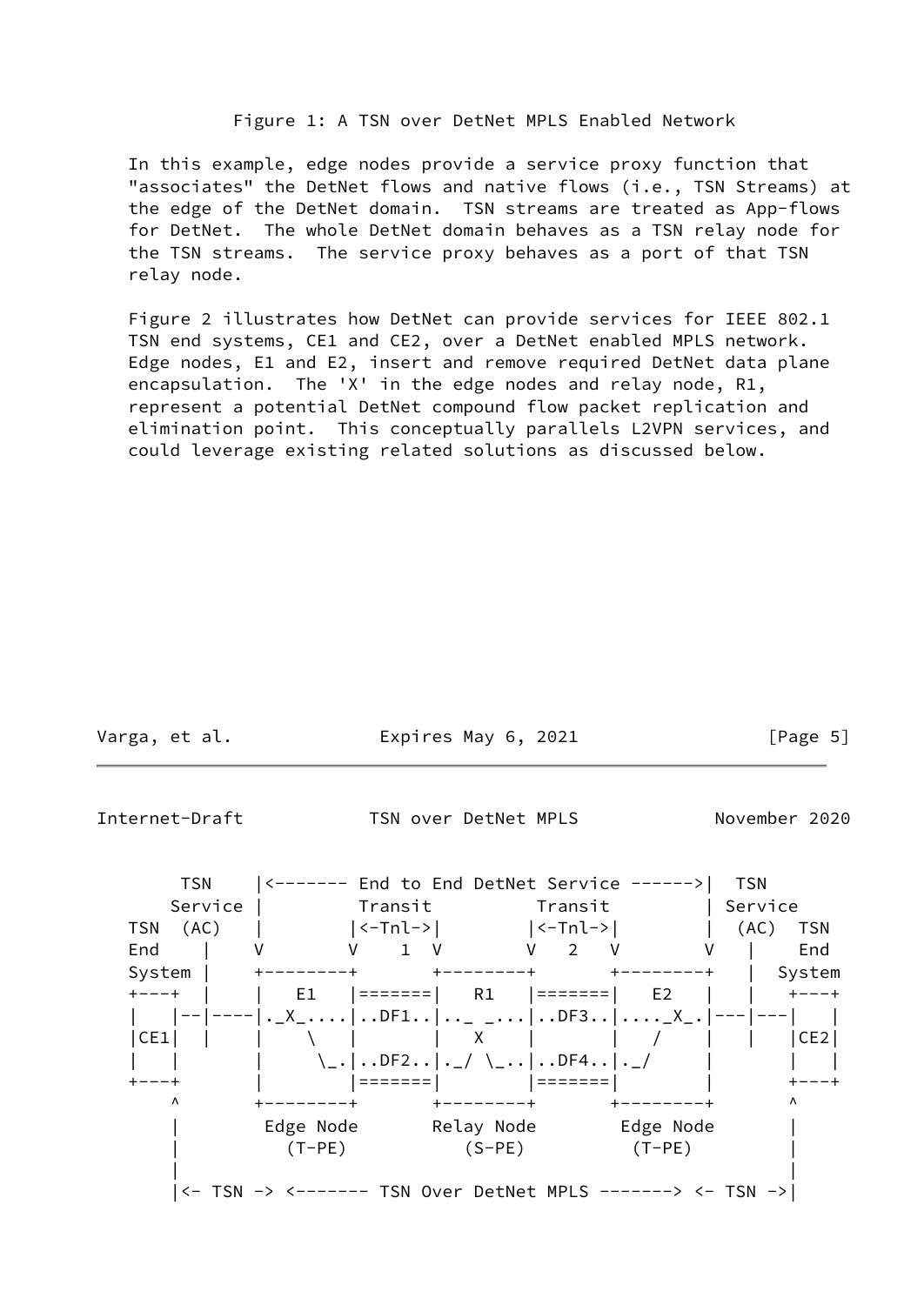### Figure 1: A TSN over DetNet MPLS Enabled Network

 In this example, edge nodes provide a service proxy function that "associates" the DetNet flows and native flows (i.e., TSN Streams) at the edge of the DetNet domain. TSN streams are treated as App-flows for DetNet. The whole DetNet domain behaves as a TSN relay node for the TSN streams. The service proxy behaves as a port of that TSN relay node.

 Figure 2 illustrates how DetNet can provide services for IEEE 802.1 TSN end systems, CE1 and CE2, over a DetNet enabled MPLS network. Edge nodes, E1 and E2, insert and remove required DetNet data plane encapsulation. The 'X' in the edge nodes and relay node, R1, represent a potential DetNet compound flow packet replication and elimination point. This conceptually parallels L2VPN services, and could leverage existing related solutions as discussed below.

| Varga, | et. | al |
|--------|-----|----|
|        |     |    |

Expires May 6, 2021  $[Page 5]$ 

<span id="page-5-0"></span>Internet-Draft TSN over DetNet MPLS November 2020

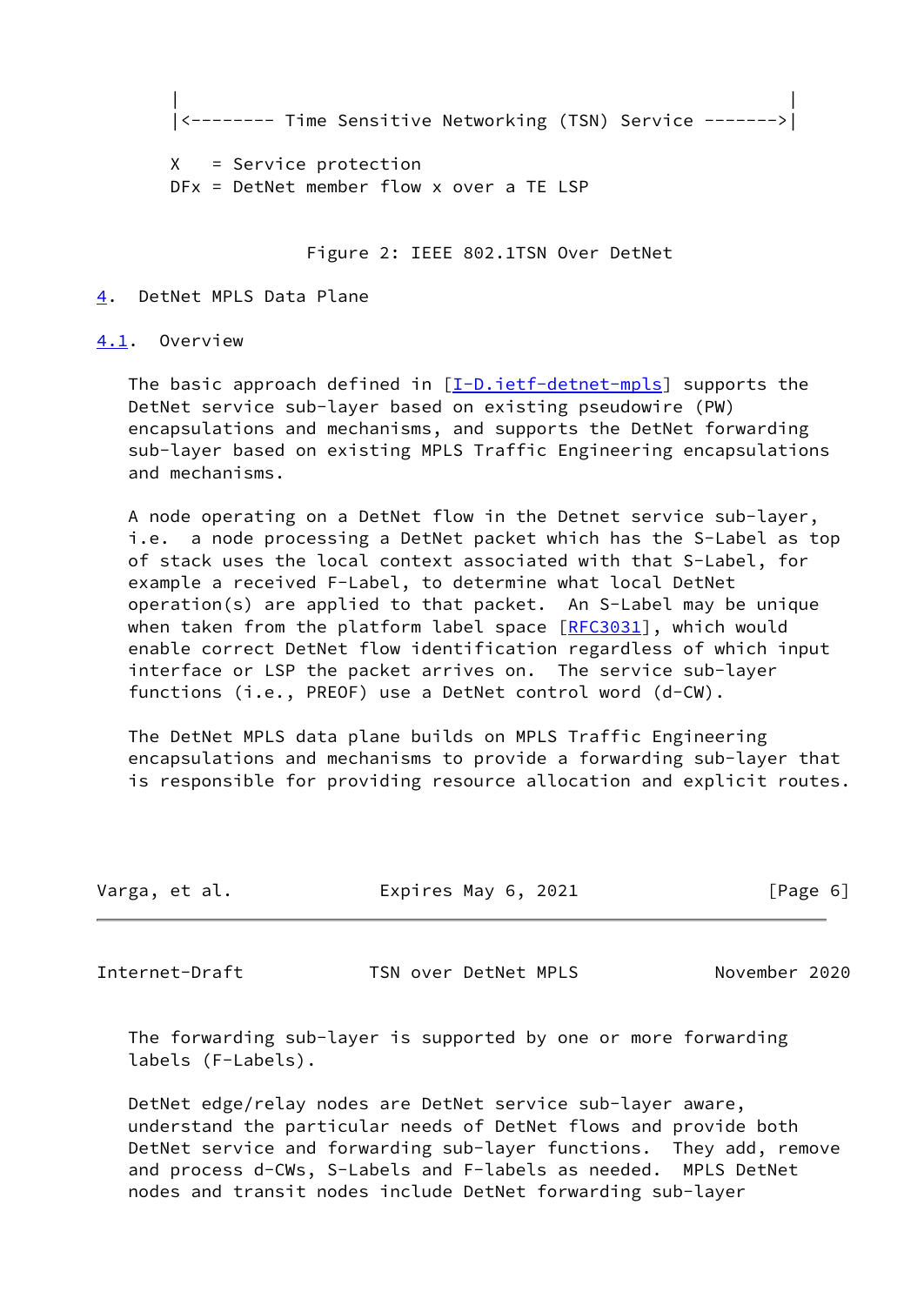```
 | |
|<-------- Time Sensitive Networking (TSN) Service ------->|
```
 X = Service protection DFx = DetNet member flow x over a TE LSP

Figure 2: IEEE 802.1TSN Over DetNet

#### <span id="page-6-0"></span>[4](#page-6-0). DetNet MPLS Data Plane

<span id="page-6-1"></span>[4.1](#page-6-1). Overview

The basic approach defined in  $[I-D.iett-detnet-mpls]$  supports the DetNet service sub-layer based on existing pseudowire (PW) encapsulations and mechanisms, and supports the DetNet forwarding sub-layer based on existing MPLS Traffic Engineering encapsulations and mechanisms.

 A node operating on a DetNet flow in the Detnet service sub-layer, i.e. a node processing a DetNet packet which has the S-Label as top of stack uses the local context associated with that S-Label, for example a received F-Label, to determine what local DetNet operation(s) are applied to that packet. An S-Label may be unique when taken from the platform label space  $[REC3031]$ , which would enable correct DetNet flow identification regardless of which input interface or LSP the packet arrives on. The service sub-layer functions (i.e., PREOF) use a DetNet control word (d-CW).

 The DetNet MPLS data plane builds on MPLS Traffic Engineering encapsulations and mechanisms to provide a forwarding sub-layer that is responsible for providing resource allocation and explicit routes.

| Expires May 6, 2021<br>Varga, et al. | [Page 6] |  |
|--------------------------------------|----------|--|
|--------------------------------------|----------|--|

<span id="page-6-2"></span>Internet-Draft TSN over DetNet MPLS November 2020

 The forwarding sub-layer is supported by one or more forwarding labels (F-Labels).

 DetNet edge/relay nodes are DetNet service sub-layer aware, understand the particular needs of DetNet flows and provide both DetNet service and forwarding sub-layer functions. They add, remove and process d-CWs, S-Labels and F-labels as needed. MPLS DetNet nodes and transit nodes include DetNet forwarding sub-layer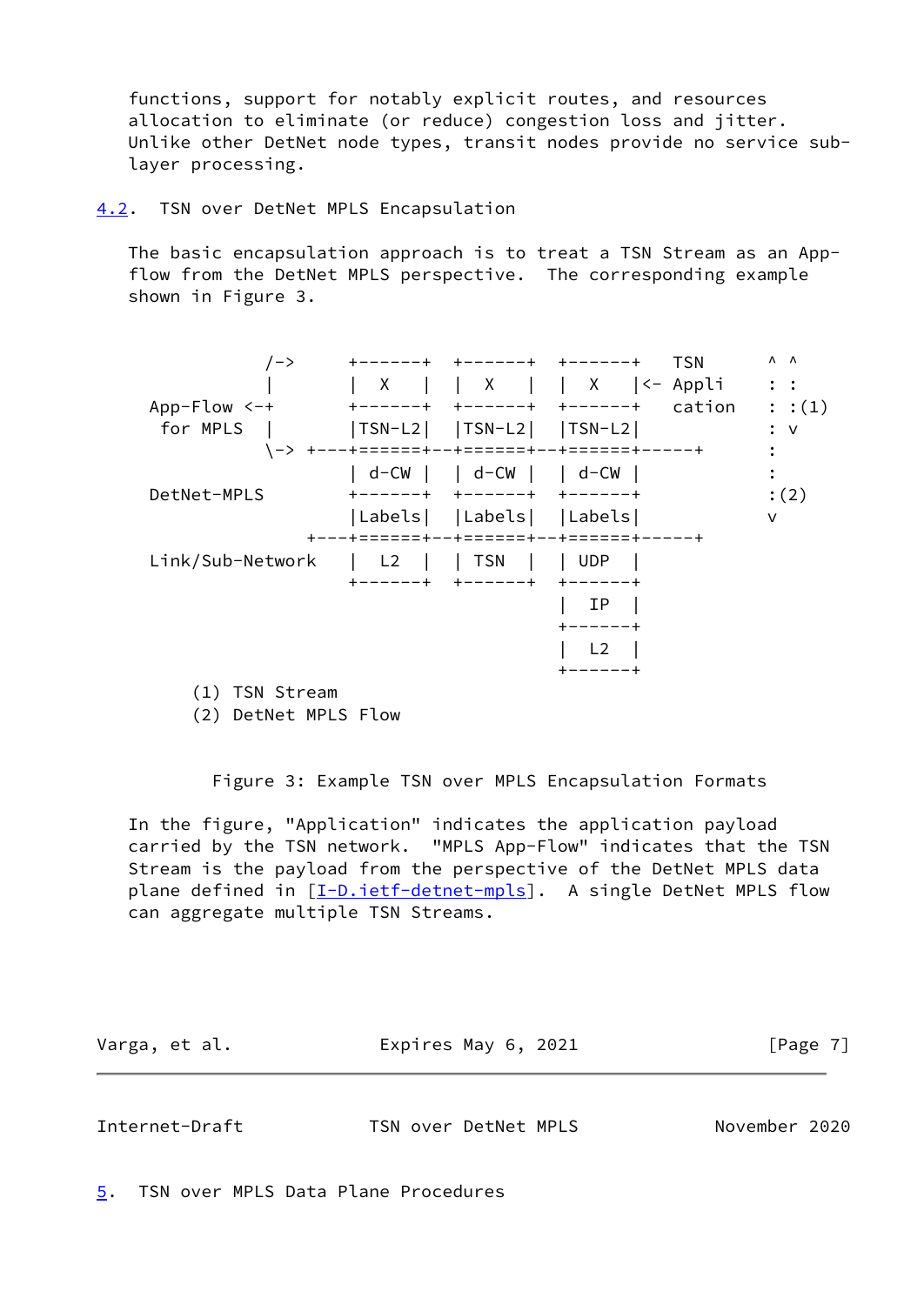functions, support for notably explicit routes, and resources allocation to eliminate (or reduce) congestion loss and jitter. Unlike other DetNet node types, transit nodes provide no service sub layer processing.

<span id="page-7-0"></span>[4.2](#page-7-0). TSN over DetNet MPLS Encapsulation

 The basic encapsulation approach is to treat a TSN Stream as an App flow from the DetNet MPLS perspective. The corresponding example shown in Figure 3.

| $/ -$ >          |            |                                  | <b>TSN</b><br>---------                   | $\Lambda$ $\Lambda$ |
|------------------|------------|----------------------------------|-------------------------------------------|---------------------|
|                  | X          |                                  | X     X  <- Appli                         | $\mathbf{L}$ :      |
| $App-Flow < -+$  |            |                                  | cation                                    | : :(1)              |
| for MPLS         |            | $ TSN-L2 $ $ TSN-L2 $ $ TSN-L2 $ |                                           | : v                 |
|                  |            |                                  | -> +---+======+--+======+--+======+-----+ |                     |
|                  |            | d-CW     d-CW     d-CW           |                                           |                     |
| DetNet-MPLS      |            |                                  |                                           | :(2)                |
|                  |            | Labels   Labels   Labels         |                                           | v                   |
|                  |            | --+======+--+======+--+======+   |                                           |                     |
| Link/Sub-Network | $\vert$ L2 | TSN                              | l UDP                                     |                     |
|                  | $-+$       | $+ - - - - - +$                  | キーーーーーキ                                   |                     |
|                  |            |                                  | ΙP                                        |                     |
|                  |            |                                  |                                           |                     |
|                  |            |                                  | L <sub>2</sub>                            |                     |
|                  |            |                                  |                                           |                     |
| $(1)$ TOM $CL$   |            |                                  |                                           |                     |

(1) TSN Stream

(2) DetNet MPLS Flow

Figure 3: Example TSN over MPLS Encapsulation Formats

 In the figure, "Application" indicates the application payload carried by the TSN network. "MPLS App-Flow" indicates that the TSN Stream is the payload from the perspective of the DetNet MPLS data plane defined in [\[I-D.ietf-detnet-mpls](#page-14-4)]. A single DetNet MPLS flow can aggregate multiple TSN Streams.

| Varga, et al. | Expires May 6, 2021 | [Page 7] |
|---------------|---------------------|----------|
|---------------|---------------------|----------|

<span id="page-7-2"></span>Internet-Draft TSN over DetNet MPLS November 2020

<span id="page-7-1"></span>[5](#page-7-1). TSN over MPLS Data Plane Procedures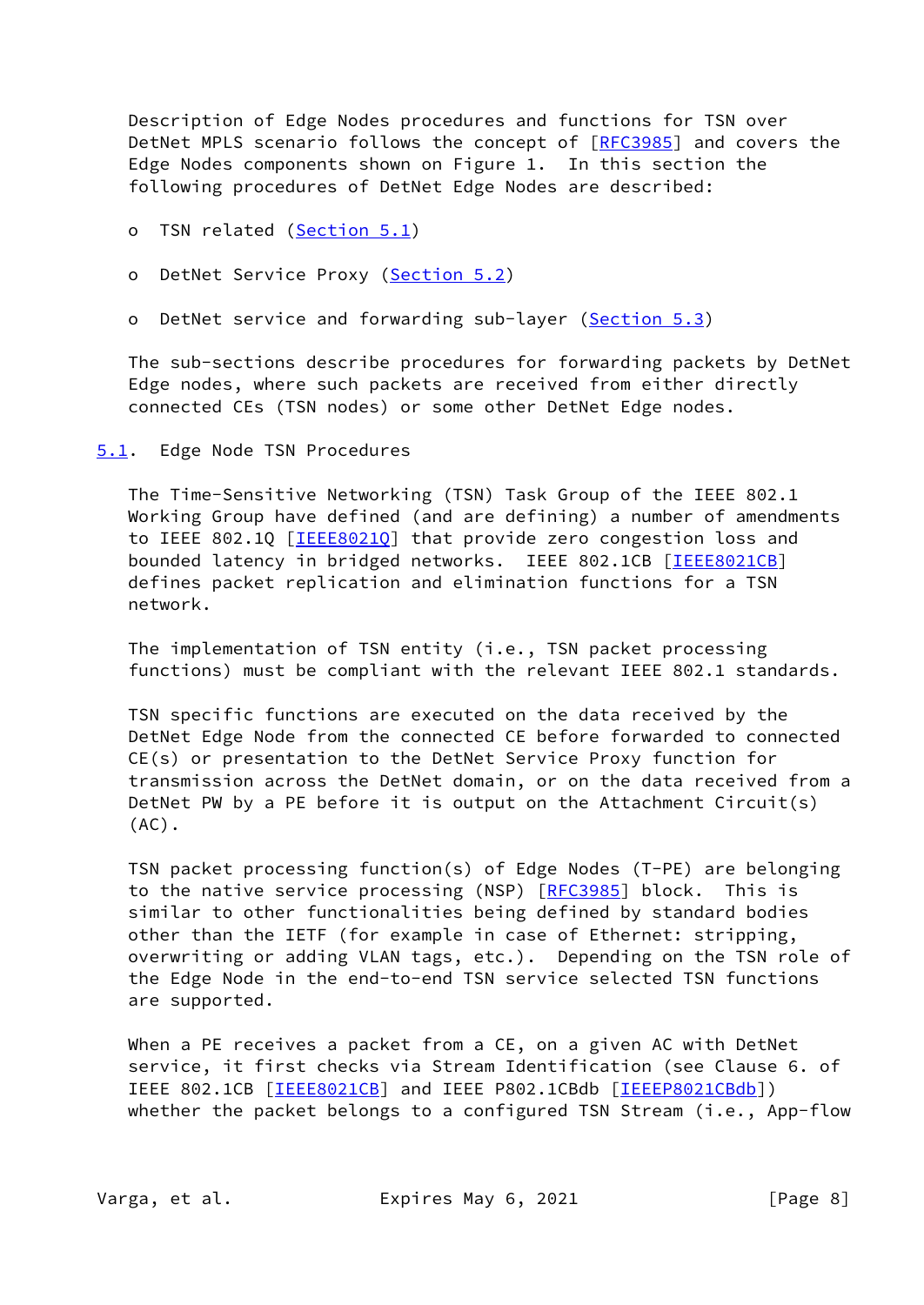Description of Edge Nodes procedures and functions for TSN over DetNet MPLS scenario follows the concept of [\[RFC3985](https://datatracker.ietf.org/doc/pdf/rfc3985)] and covers the Edge Nodes components shown on Figure 1. In this section the following procedures of DetNet Edge Nodes are described:

- o TSN related [\(Section 5.1](#page-8-0))
- o DetNet Service Proxy [\(Section 5.2](#page-9-0))
- o DetNet service and forwarding sub-layer ([Section 5.3\)](#page-10-1)

 The sub-sections describe procedures for forwarding packets by DetNet Edge nodes, where such packets are received from either directly connected CEs (TSN nodes) or some other DetNet Edge nodes.

<span id="page-8-0"></span>[5.1](#page-8-0). Edge Node TSN Procedures

 The Time-Sensitive Networking (TSN) Task Group of the IEEE 802.1 Working Group have defined (and are defining) a number of amendments to IEEE 802.1Q [\[IEEE8021Q](#page-15-1)] that provide zero congestion loss and bounded latency in bridged networks. IEEE 802.1CB [[IEEE8021CB\]](#page-15-2) defines packet replication and elimination functions for a TSN network.

 The implementation of TSN entity (i.e., TSN packet processing functions) must be compliant with the relevant IEEE 802.1 standards.

 TSN specific functions are executed on the data received by the DetNet Edge Node from the connected CE before forwarded to connected CE(s) or presentation to the DetNet Service Proxy function for transmission across the DetNet domain, or on the data received from a DetNet PW by a PE before it is output on the Attachment Circuit(s) (AC).

 TSN packet processing function(s) of Edge Nodes (T-PE) are belonging to the native service processing (NSP) [\[RFC3985](https://datatracker.ietf.org/doc/pdf/rfc3985)] block. This is similar to other functionalities being defined by standard bodies other than the IETF (for example in case of Ethernet: stripping, overwriting or adding VLAN tags, etc.). Depending on the TSN role of the Edge Node in the end-to-end TSN service selected TSN functions are supported.

 When a PE receives a packet from a CE, on a given AC with DetNet service, it first checks via Stream Identification (see Clause 6. of IEEE 802.1CB [\[IEEE8021CB\]](#page-15-2) and IEEE P802.1CBdb [[IEEEP8021CBdb\]](#page-15-3)) whether the packet belongs to a configured TSN Stream (i.e., App-flow

Varga, et al. **Expires May 6, 2021** [Page 8]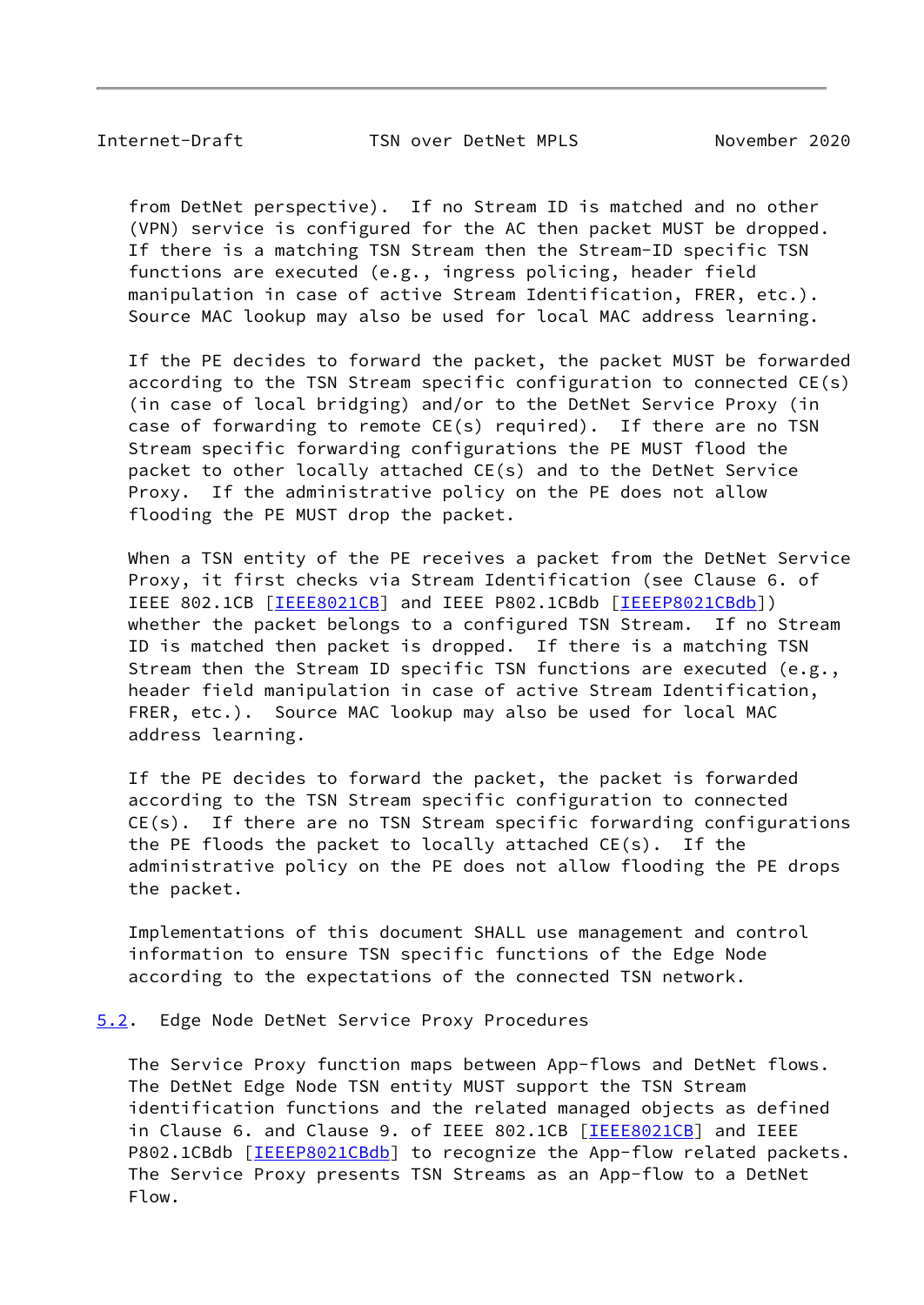<span id="page-9-1"></span>Internet-Draft TSN over DetNet MPLS November 2020

 from DetNet perspective). If no Stream ID is matched and no other (VPN) service is configured for the AC then packet MUST be dropped. If there is a matching TSN Stream then the Stream-ID specific TSN functions are executed (e.g., ingress policing, header field manipulation in case of active Stream Identification, FRER, etc.). Source MAC lookup may also be used for local MAC address learning.

 If the PE decides to forward the packet, the packet MUST be forwarded according to the TSN Stream specific configuration to connected CE(s) (in case of local bridging) and/or to the DetNet Service Proxy (in case of forwarding to remote CE(s) required). If there are no TSN Stream specific forwarding configurations the PE MUST flood the packet to other locally attached CE(s) and to the DetNet Service Proxy. If the administrative policy on the PE does not allow flooding the PE MUST drop the packet.

 When a TSN entity of the PE receives a packet from the DetNet Service Proxy, it first checks via Stream Identification (see Clause 6. of IEEE 802.1CB [\[IEEE8021CB\]](#page-15-2) and IEEE P802.1CBdb [[IEEEP8021CBdb\]](#page-15-3)) whether the packet belongs to a configured TSN Stream. If no Stream ID is matched then packet is dropped. If there is a matching TSN Stream then the Stream ID specific TSN functions are executed (e.g., header field manipulation in case of active Stream Identification, FRER, etc.). Source MAC lookup may also be used for local MAC address learning.

 If the PE decides to forward the packet, the packet is forwarded according to the TSN Stream specific configuration to connected CE(s). If there are no TSN Stream specific forwarding configurations the PE floods the packet to locally attached CE(s). If the administrative policy on the PE does not allow flooding the PE drops the packet.

 Implementations of this document SHALL use management and control information to ensure TSN specific functions of the Edge Node according to the expectations of the connected TSN network.

<span id="page-9-0"></span>[5.2](#page-9-0). Edge Node DetNet Service Proxy Procedures

 The Service Proxy function maps between App-flows and DetNet flows. The DetNet Edge Node TSN entity MUST support the TSN Stream identification functions and the related managed objects as defined in Clause 6. and Clause 9. of IEEE 802.1CB [[IEEE8021CB\]](#page-15-2) and IEEE P802.1CBdb [[IEEEP8021CBdb\]](#page-15-3) to recognize the App-flow related packets. The Service Proxy presents TSN Streams as an App-flow to a DetNet Flow.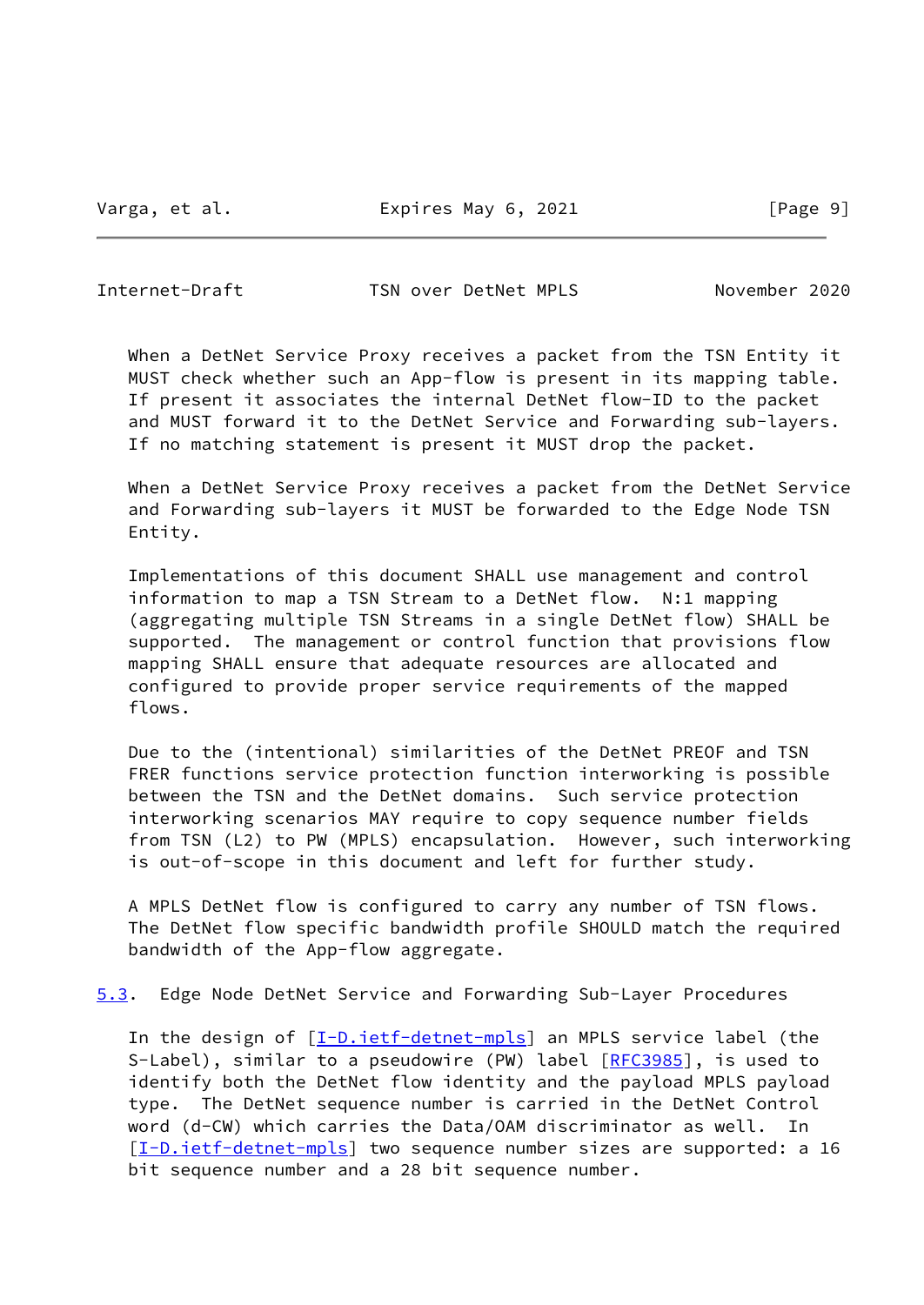Varga, et al. **Expires May 6, 2021** [Page 9]

<span id="page-10-0"></span>Internet-Draft TSN over DetNet MPLS November 2020

 When a DetNet Service Proxy receives a packet from the TSN Entity it MUST check whether such an App-flow is present in its mapping table. If present it associates the internal DetNet flow-ID to the packet and MUST forward it to the DetNet Service and Forwarding sub-layers. If no matching statement is present it MUST drop the packet.

 When a DetNet Service Proxy receives a packet from the DetNet Service and Forwarding sub-layers it MUST be forwarded to the Edge Node TSN Entity.

 Implementations of this document SHALL use management and control information to map a TSN Stream to a DetNet flow. N:1 mapping (aggregating multiple TSN Streams in a single DetNet flow) SHALL be supported. The management or control function that provisions flow mapping SHALL ensure that adequate resources are allocated and configured to provide proper service requirements of the mapped flows.

 Due to the (intentional) similarities of the DetNet PREOF and TSN FRER functions service protection function interworking is possible between the TSN and the DetNet domains. Such service protection interworking scenarios MAY require to copy sequence number fields from TSN (L2) to PW (MPLS) encapsulation. However, such interworking is out-of-scope in this document and left for further study.

 A MPLS DetNet flow is configured to carry any number of TSN flows. The DetNet flow specific bandwidth profile SHOULD match the required bandwidth of the App-flow aggregate.

<span id="page-10-1"></span>[5.3](#page-10-1). Edge Node DetNet Service and Forwarding Sub-Layer Procedures

In the design of [\[I-D.ietf-detnet-mpls](#page-14-4)] an MPLS service label (the S-Label), similar to a pseudowire (PW) label [\[RFC3985](https://datatracker.ietf.org/doc/pdf/rfc3985)], is used to identify both the DetNet flow identity and the payload MPLS payload type. The DetNet sequence number is carried in the DetNet Control word (d-CW) which carries the Data/OAM discriminator as well. In [\[I-D.ietf-detnet-mpls](#page-14-4)] two sequence number sizes are supported: a 16 bit sequence number and a 28 bit sequence number.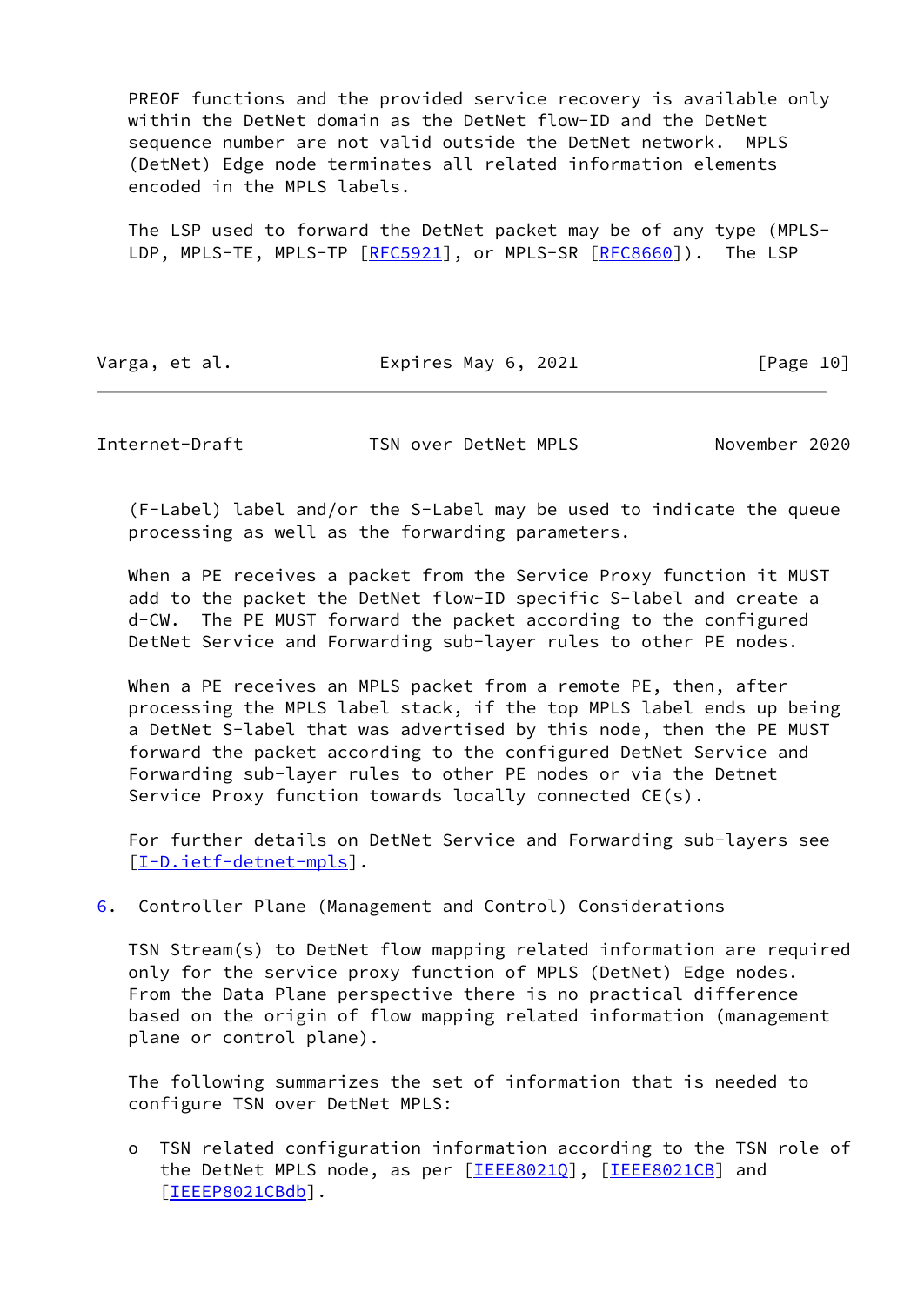PREOF functions and the provided service recovery is available only within the DetNet domain as the DetNet flow-ID and the DetNet sequence number are not valid outside the DetNet network. MPLS (DetNet) Edge node terminates all related information elements encoded in the MPLS labels.

 The LSP used to forward the DetNet packet may be of any type (MPLS- LDP, MPLS-TE, MPLS-TP [[RFC5921](https://datatracker.ietf.org/doc/pdf/rfc5921)], or MPLS-SR [\[RFC8660](https://datatracker.ietf.org/doc/pdf/rfc8660)]). The LSP

Varga, et al. **Expires May 6, 2021** [Page 10]

<span id="page-11-1"></span>Internet-Draft TSN over DetNet MPLS November 2020

 (F-Label) label and/or the S-Label may be used to indicate the queue processing as well as the forwarding parameters.

 When a PE receives a packet from the Service Proxy function it MUST add to the packet the DetNet flow-ID specific S-label and create a d-CW. The PE MUST forward the packet according to the configured DetNet Service and Forwarding sub-layer rules to other PE nodes.

 When a PE receives an MPLS packet from a remote PE, then, after processing the MPLS label stack, if the top MPLS label ends up being a DetNet S-label that was advertised by this node, then the PE MUST forward the packet according to the configured DetNet Service and Forwarding sub-layer rules to other PE nodes or via the Detnet Service Proxy function towards locally connected CE(s).

 For further details on DetNet Service and Forwarding sub-layers see [\[I-D.ietf-detnet-mpls](#page-14-4)].

<span id="page-11-0"></span>[6](#page-11-0). Controller Plane (Management and Control) Considerations

 TSN Stream(s) to DetNet flow mapping related information are required only for the service proxy function of MPLS (DetNet) Edge nodes. From the Data Plane perspective there is no practical difference based on the origin of flow mapping related information (management plane or control plane).

 The following summarizes the set of information that is needed to configure TSN over DetNet MPLS:

 o TSN related configuration information according to the TSN role of the DetNet MPLS node, as per [IEEE80210], [\[IEEE8021CB\]](#page-15-2) and [[IEEEP8021CBdb\]](#page-15-3).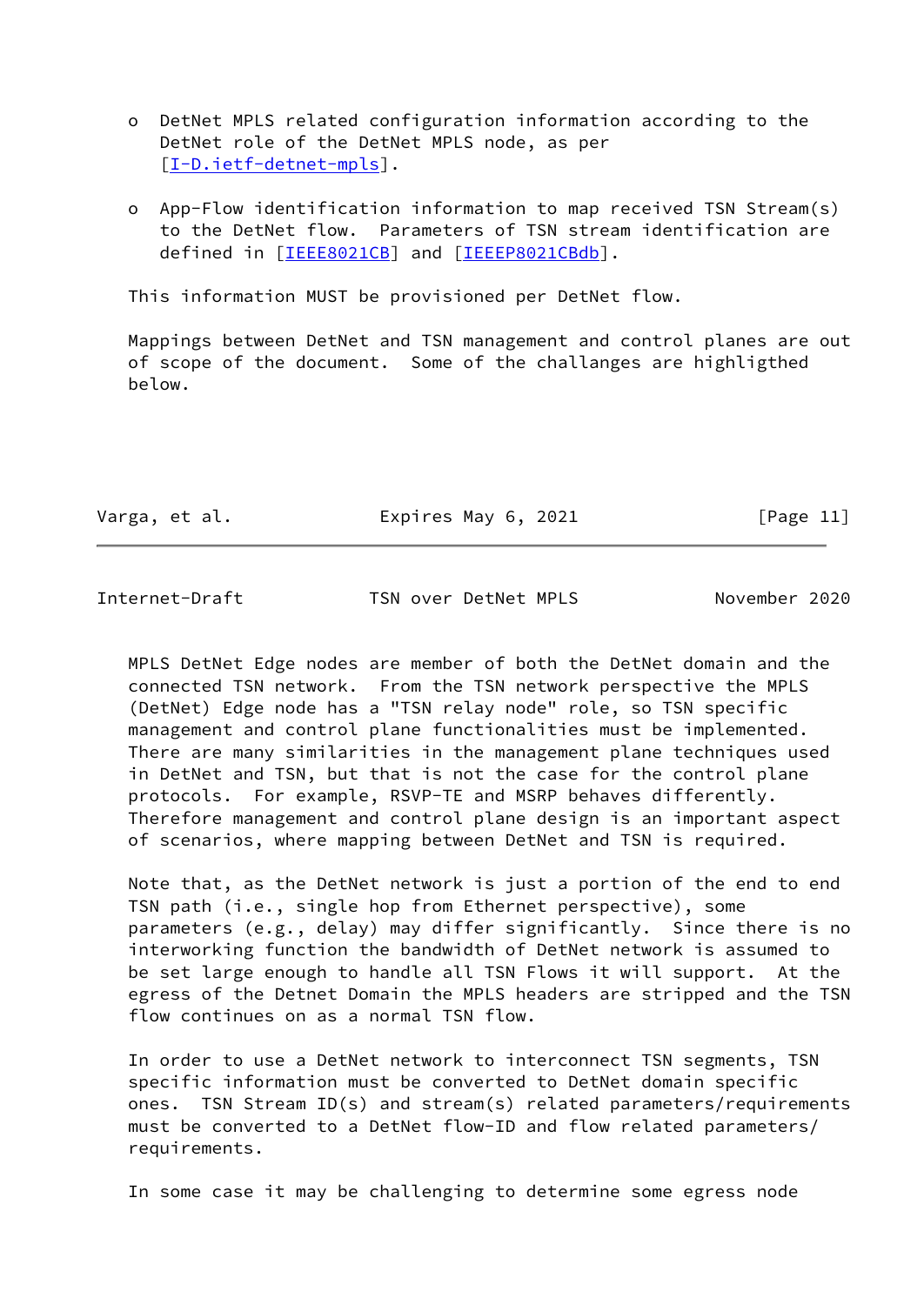o DetNet MPLS related configuration information according to the DetNet role of the DetNet MPLS node, as per [[I-D.ietf-detnet-mpls\]](#page-14-4).

 o App-Flow identification information to map received TSN Stream(s) to the DetNet flow. Parameters of TSN stream identification are defined in [[IEEE8021CB\]](#page-15-2) and [\[IEEEP8021CBdb](#page-15-3)].

This information MUST be provisioned per DetNet flow.

 Mappings between DetNet and TSN management and control planes are out of scope of the document. Some of the challanges are highligthed below.

| Varga, et al. | Expires May 6, 2021 |  | [Page 11] |  |
|---------------|---------------------|--|-----------|--|
|               |                     |  |           |  |

Internet-Draft TSN over DetNet MPLS November 2020

 MPLS DetNet Edge nodes are member of both the DetNet domain and the connected TSN network. From the TSN network perspective the MPLS (DetNet) Edge node has a "TSN relay node" role, so TSN specific management and control plane functionalities must be implemented. There are many similarities in the management plane techniques used in DetNet and TSN, but that is not the case for the control plane protocols. For example, RSVP-TE and MSRP behaves differently. Therefore management and control plane design is an important aspect of scenarios, where mapping between DetNet and TSN is required.

 Note that, as the DetNet network is just a portion of the end to end TSN path (i.e., single hop from Ethernet perspective), some parameters (e.g., delay) may differ significantly. Since there is no interworking function the bandwidth of DetNet network is assumed to be set large enough to handle all TSN Flows it will support. At the egress of the Detnet Domain the MPLS headers are stripped and the TSN flow continues on as a normal TSN flow.

 In order to use a DetNet network to interconnect TSN segments, TSN specific information must be converted to DetNet domain specific ones. TSN Stream ID(s) and stream(s) related parameters/requirements must be converted to a DetNet flow-ID and flow related parameters/ requirements.

In some case it may be challenging to determine some egress node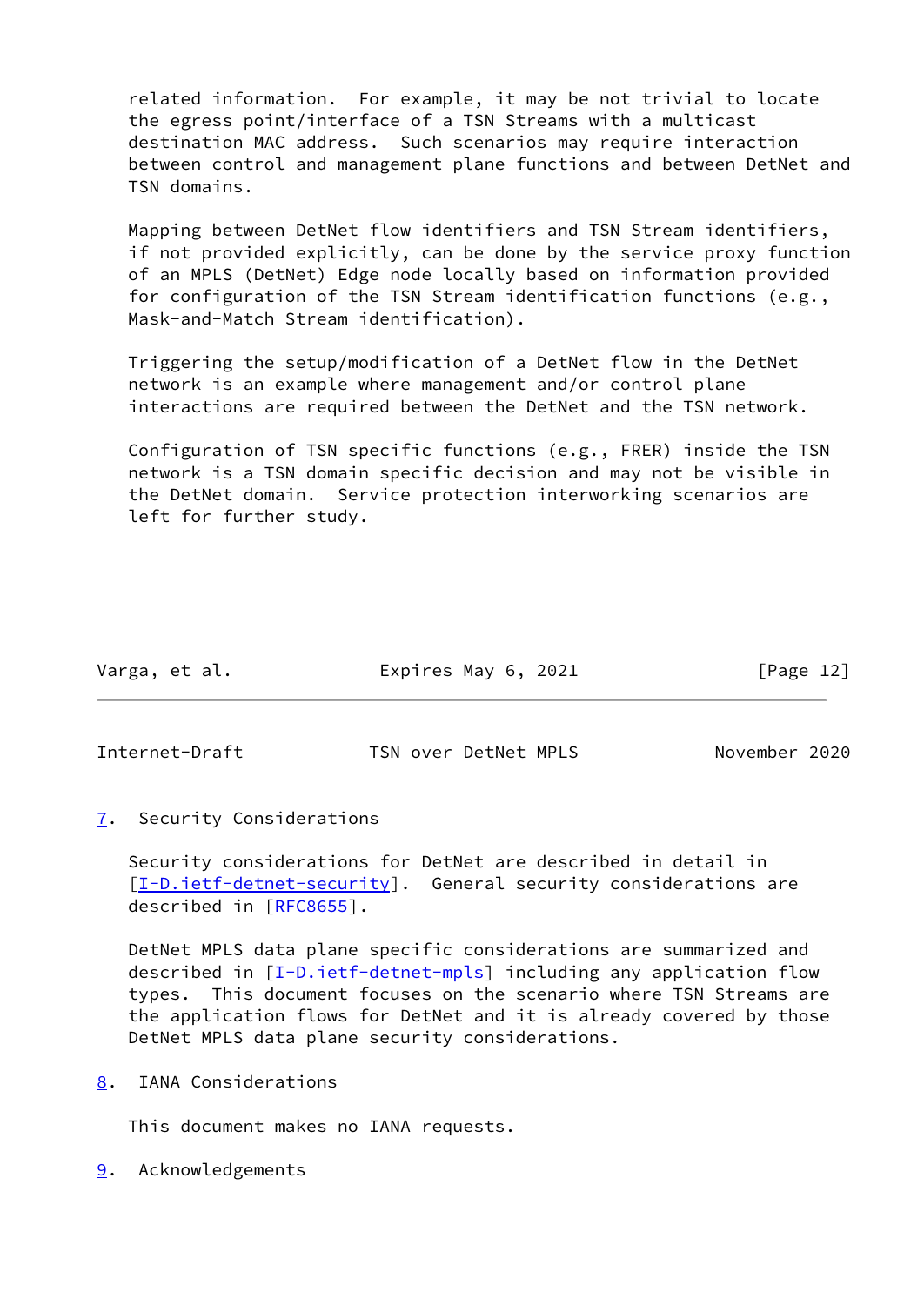related information. For example, it may be not trivial to locate the egress point/interface of a TSN Streams with a multicast destination MAC address. Such scenarios may require interaction between control and management plane functions and between DetNet and TSN domains.

 Mapping between DetNet flow identifiers and TSN Stream identifiers, if not provided explicitly, can be done by the service proxy function of an MPLS (DetNet) Edge node locally based on information provided for configuration of the TSN Stream identification functions (e.g., Mask-and-Match Stream identification).

 Triggering the setup/modification of a DetNet flow in the DetNet network is an example where management and/or control plane interactions are required between the DetNet and the TSN network.

 Configuration of TSN specific functions (e.g., FRER) inside the TSN network is a TSN domain specific decision and may not be visible in the DetNet domain. Service protection interworking scenarios are left for further study.

| Varga, et al. | Expires May 6, 2021 | [Page 12] |
|---------------|---------------------|-----------|
|               |                     |           |

<span id="page-13-1"></span>Internet-Draft TSN over DetNet MPLS November 2020

<span id="page-13-0"></span>[7](#page-13-0). Security Considerations

 Security considerations for DetNet are described in detail in  $[I-D.iett-detnet-security]$ . General security considerations are described in [\[RFC8655](https://datatracker.ietf.org/doc/pdf/rfc8655)].

 DetNet MPLS data plane specific considerations are summarized and described in [\[I-D.ietf-detnet-mpls](#page-14-4)] including any application flow types. This document focuses on the scenario where TSN Streams are the application flows for DetNet and it is already covered by those DetNet MPLS data plane security considerations.

<span id="page-13-2"></span>[8](#page-13-2). IANA Considerations

This document makes no IANA requests.

<span id="page-13-3"></span>[9](#page-13-3). Acknowledgements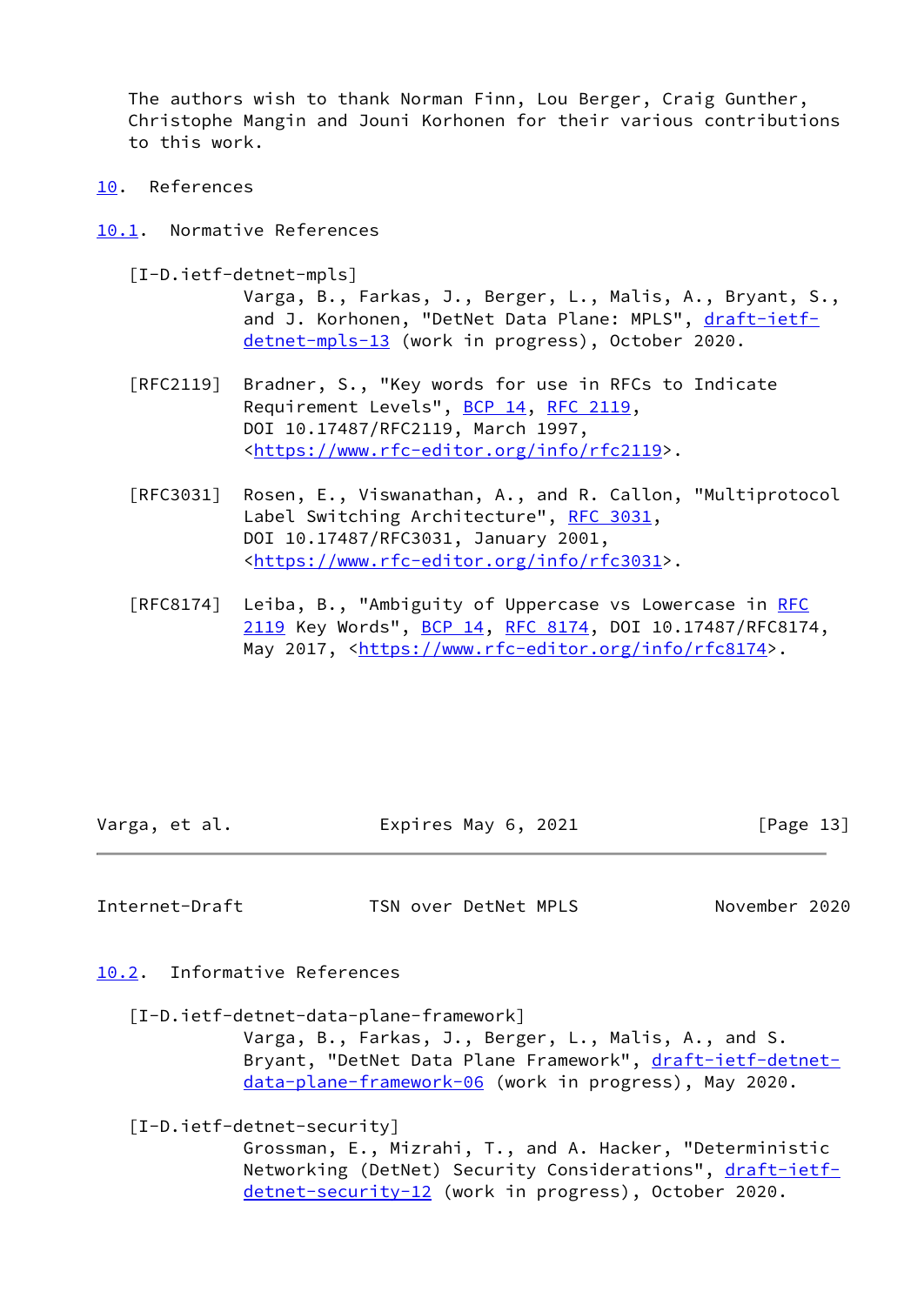The authors wish to thank Norman Finn, Lou Berger, Craig Gunther, Christophe Mangin and Jouni Korhonen for their various contributions to this work.

- <span id="page-14-0"></span>[10.](#page-14-0) References
- <span id="page-14-4"></span><span id="page-14-1"></span>[10.1](#page-14-1). Normative References
	- [I-D.ietf-detnet-mpls]

 Varga, B., Farkas, J., Berger, L., Malis, A., Bryant, S., and J. Korhonen, "DetNet Data Plane: MPLS", [draft-ietf](https://datatracker.ietf.org/doc/pdf/draft-ietf-detnet-mpls-13) [detnet-mpls-13](https://datatracker.ietf.org/doc/pdf/draft-ietf-detnet-mpls-13) (work in progress), October 2020.

- [RFC2119] Bradner, S., "Key words for use in RFCs to Indicate Requirement Levels", [BCP 14](https://datatracker.ietf.org/doc/pdf/bcp14), [RFC 2119](https://datatracker.ietf.org/doc/pdf/rfc2119), DOI 10.17487/RFC2119, March 1997, <[https://www.rfc-editor.org/info/rfc2119>](https://www.rfc-editor.org/info/rfc2119).
- [RFC3031] Rosen, E., Viswanathan, A., and R. Callon, "Multiprotocol Label Switching Architecture", [RFC 3031](https://datatracker.ietf.org/doc/pdf/rfc3031), DOI 10.17487/RFC3031, January 2001, <[https://www.rfc-editor.org/info/rfc3031>](https://www.rfc-editor.org/info/rfc3031).
- [RFC8174] Leiba, B., "Ambiguity of Uppercase vs Lowercase in [RFC](https://datatracker.ietf.org/doc/pdf/rfc2119) [2119](https://datatracker.ietf.org/doc/pdf/rfc2119) Key Words", [BCP 14](https://datatracker.ietf.org/doc/pdf/bcp14), [RFC 8174,](https://datatracker.ietf.org/doc/pdf/rfc8174) DOI 10.17487/RFC8174, May 2017, [<https://www.rfc-editor.org/info/rfc8174](https://www.rfc-editor.org/info/rfc8174)>.

Varga, et al. **Expires May 6, 2021** [Page 13]

<span id="page-14-3"></span>Internet-Draft TSN over DetNet MPLS November 2020

<span id="page-14-2"></span>[10.2](#page-14-2). Informative References

<span id="page-14-5"></span>[I-D.ietf-detnet-data-plane-framework]

 Varga, B., Farkas, J., Berger, L., Malis, A., and S. Bryant, "DetNet Data Plane Framework", [draft-ietf-detnet](https://datatracker.ietf.org/doc/pdf/draft-ietf-detnet-data-plane-framework-06) [data-plane-framework-06](https://datatracker.ietf.org/doc/pdf/draft-ietf-detnet-data-plane-framework-06) (work in progress), May 2020.

<span id="page-14-6"></span>[I-D.ietf-detnet-security]

 Grossman, E., Mizrahi, T., and A. Hacker, "Deterministic Networking (DetNet) Security Considerations", [draft-ietf](https://datatracker.ietf.org/doc/pdf/draft-ietf-detnet-security-12)[detnet-security-12](https://datatracker.ietf.org/doc/pdf/draft-ietf-detnet-security-12) (work in progress), October 2020.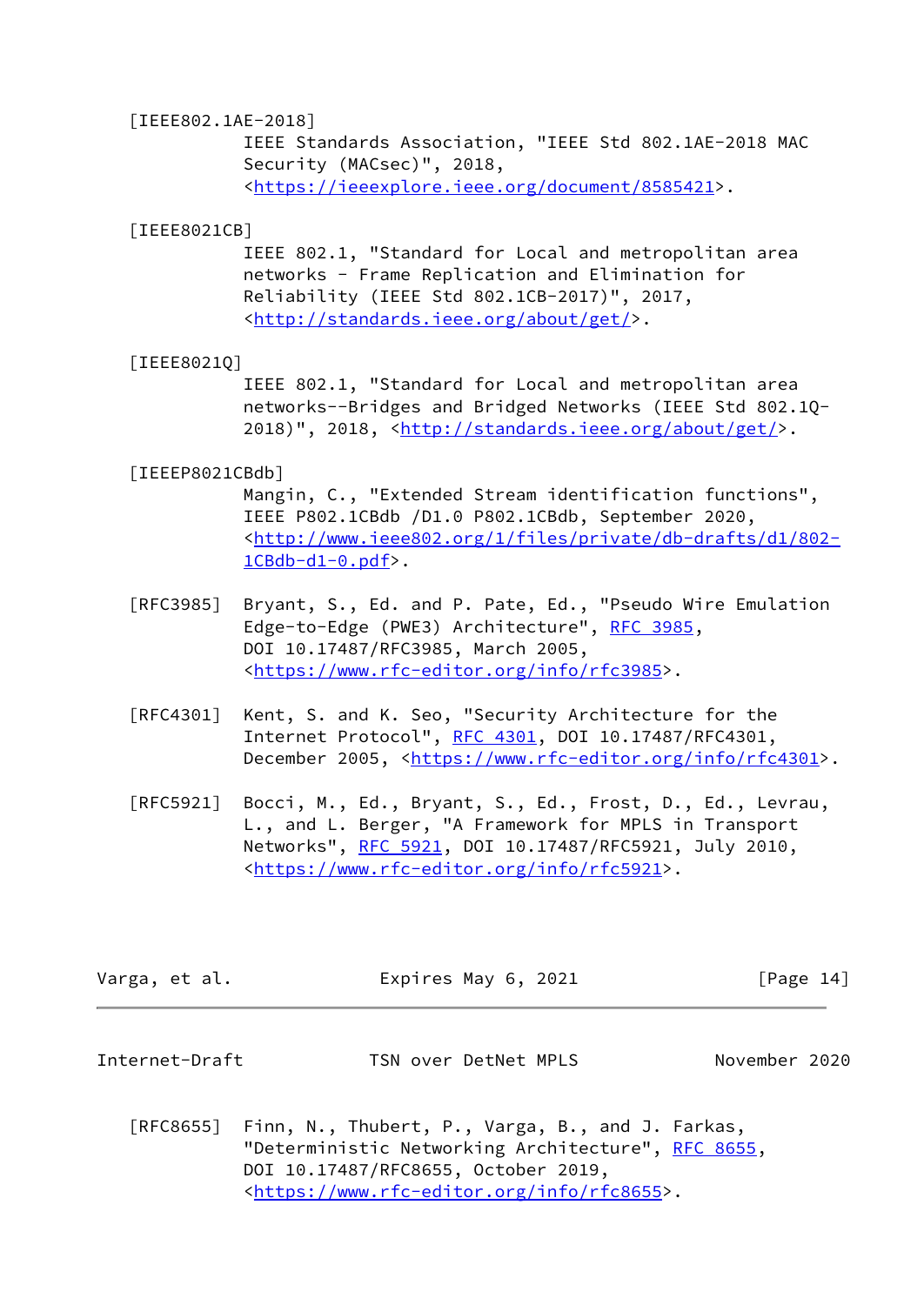### [IEEE802.1AE-2018]

 IEEE Standards Association, "IEEE Std 802.1AE-2018 MAC Security (MACsec)", 2018, <[https://ieeexplore.ieee.org/document/8585421>](https://ieeexplore.ieee.org/document/8585421).

#### <span id="page-15-2"></span>[IEEE8021CB]

 IEEE 802.1, "Standard for Local and metropolitan area networks - Frame Replication and Elimination for Reliability (IEEE Std 802.1CB-2017)", 2017, <[http://standards.ieee.org/about/get/>](http://standards.ieee.org/about/get/).

### <span id="page-15-1"></span>[IEEE8021Q]

 IEEE 802.1, "Standard for Local and metropolitan area networks--Bridges and Bridged Networks (IEEE Std 802.1Q- 2018)", 2018, [<http://standards.ieee.org/about/get/](http://standards.ieee.org/about/get/)>.

#### <span id="page-15-3"></span>[IEEEP8021CBdb]

 Mangin, C., "Extended Stream identification functions", IEEE P802.1CBdb /D1.0 P802.1CBdb, September 2020, <[http://www.ieee802.org/1/files/private/db-drafts/d1/802-](http://www.ieee802.org/1/files/private/db-drafts/d1/802-1CBdb-d1-0.pdf)  $1CBdb-d1-0.pdf$ .

- [RFC3985] Bryant, S., Ed. and P. Pate, Ed., "Pseudo Wire Emulation Edge-to-Edge (PWE3) Architecture", [RFC 3985](https://datatracker.ietf.org/doc/pdf/rfc3985), DOI 10.17487/RFC3985, March 2005, <[https://www.rfc-editor.org/info/rfc3985>](https://www.rfc-editor.org/info/rfc3985).
- [RFC4301] Kent, S. and K. Seo, "Security Architecture for the Internet Protocol", [RFC 4301,](https://datatracker.ietf.org/doc/pdf/rfc4301) DOI 10.17487/RFC4301, December 2005, <<https://www.rfc-editor.org/info/rfc4301>>.
- [RFC5921] Bocci, M., Ed., Bryant, S., Ed., Frost, D., Ed., Levrau, L., and L. Berger, "A Framework for MPLS in Transport Networks", [RFC 5921](https://datatracker.ietf.org/doc/pdf/rfc5921), DOI 10.17487/RFC5921, July 2010, <[https://www.rfc-editor.org/info/rfc5921>](https://www.rfc-editor.org/info/rfc5921).

| Varga, et al.<br>Expires May 6, 2021 | [Page 14] |  |  |  |  |  |  |  |  |  |  |  |  |  |  |  |  |  |  |  |  |  |  |  |  |  |  |  |  |  |  |  |  |  |  |  |  |  |  |  |  |  |  |  |  |  |  |  |  |  |  |  |  |  |  |  |  |  |  |  |  |  |  |  |  |  |  |  |  |  |  |  |  |  |  |  |  |  |  |  |  |  |  |  |  |  |  |  |  |  |  |  |  |  |  |  |  |  |  |  |  |  |  |  |  |  |  |  |  |  |  |  |  |  |  |  |  |  |  |  |  |  |  |  |  |  |  |  |  |  |  |  |  |  |  |  |  |  |  |  |  |  |  |  |  |  |
|--------------------------------------|-----------|--|--|--|--|--|--|--|--|--|--|--|--|--|--|--|--|--|--|--|--|--|--|--|--|--|--|--|--|--|--|--|--|--|--|--|--|--|--|--|--|--|--|--|--|--|--|--|--|--|--|--|--|--|--|--|--|--|--|--|--|--|--|--|--|--|--|--|--|--|--|--|--|--|--|--|--|--|--|--|--|--|--|--|--|--|--|--|--|--|--|--|--|--|--|--|--|--|--|--|--|--|--|--|--|--|--|--|--|--|--|--|--|--|--|--|--|--|--|--|--|--|--|--|--|--|--|--|--|--|--|--|--|--|--|--|--|--|--|--|--|--|--|--|--|--|
|--------------------------------------|-----------|--|--|--|--|--|--|--|--|--|--|--|--|--|--|--|--|--|--|--|--|--|--|--|--|--|--|--|--|--|--|--|--|--|--|--|--|--|--|--|--|--|--|--|--|--|--|--|--|--|--|--|--|--|--|--|--|--|--|--|--|--|--|--|--|--|--|--|--|--|--|--|--|--|--|--|--|--|--|--|--|--|--|--|--|--|--|--|--|--|--|--|--|--|--|--|--|--|--|--|--|--|--|--|--|--|--|--|--|--|--|--|--|--|--|--|--|--|--|--|--|--|--|--|--|--|--|--|--|--|--|--|--|--|--|--|--|--|--|--|--|--|--|--|--|--|

<span id="page-15-0"></span>

| November 2020<br>Internet-Draft<br>TSN over DetNet MPLS |
|---------------------------------------------------------|
|---------------------------------------------------------|

 [RFC8655] Finn, N., Thubert, P., Varga, B., and J. Farkas, "Deterministic Networking Architecture", [RFC 8655,](https://datatracker.ietf.org/doc/pdf/rfc8655) DOI 10.17487/RFC8655, October 2019, <[https://www.rfc-editor.org/info/rfc8655>](https://www.rfc-editor.org/info/rfc8655).